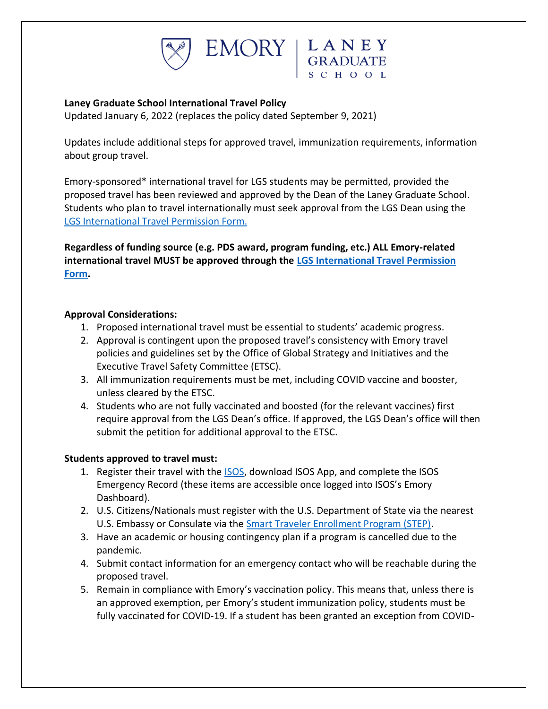



## **Laney Graduate School International Travel Policy**

Updated January 6, 2022 (replaces the policy dated September 9, 2021)

Updates include additional steps for approved travel, immunization requirements, information about group travel.

Emory-sponsored\* international travel for LGS students may be permitted, provided the proposed travel has been reviewed and approved by the Dean of the Laney Graduate School. Students who plan to travel internationally must seek approval from the LGS Dean using the [LGS International Travel](https://forms.office.com/Pages/ResponsePage.aspx?id=nPsE4KSwT0K80DImBtXfOF6k1VtPVO5ChlPSrbAMgC9UNDFURDQwRjRDT09LRElWVEE5QThMUjRVSy4u) Permission Form.

**Regardless of funding source (e.g. PDS award, program funding, etc.) ALL Emory-related international travel MUST be approved through the [LGS International Travel Permission](https://forms.office.com/Pages/ResponsePage.aspx?id=nPsE4KSwT0K80DImBtXfOF6k1VtPVO5ChlPSrbAMgC9UNDFURDQwRjRDT09LRElWVEE5QThMUjRVSy4u) [Form.](https://forms.office.com/Pages/ResponsePage.aspx?id=nPsE4KSwT0K80DImBtXfOF6k1VtPVO5ChlPSrbAMgC9UNDFURDQwRjRDT09LRElWVEE5QThMUjRVSy4u)**

### **Approval Considerations:**

- 1. Proposed international travel must be essential to students' academic progress.
- 2. Approval is contingent upon the proposed travel's consistency with Emory travel policies and guidelines set by the Office of Global Strategy and Initiatives and the Executive Travel Safety Committee (ETSC).
- 3. All immunization requirements must be met, including COVID vaccine and booster, unless cleared by the ETSC.
- 4. Students who are not fully vaccinated and boosted (for the relevant vaccines) first require approval from the LGS Dean's office. If approved, the LGS Dean's office will then submit the petition for additional approval to the ETSC.

# **Students approved to travel must:**

- 1. Register their travel with the [ISOS,](https://global.emory.edu/services/travel/isos.html) download ISOS App, and complete the ISOS Emergency Record (these items are accessible once logged into ISOS's Emory Dashboard).
- 2. U.S. Citizens/Nationals must register with the U.S. Department of State via the nearest U.S. Embassy or Consulate via the [Smart Traveler Enrollment Program \(STEP\).](https://step.state.gov/step/)
- 3. Have an academic or housing contingency plan if a program is cancelled due to the pandemic.
- 4. Submit contact information for an emergency contact who will be reachable during the proposed travel.
- 5. Remain in compliance with Emory's vaccination policy. This means that, unless there is an approved exemption, per Emory's student immunization policy, students must be fully vaccinated for COVID-19. If a student has been granted an exception from COVID-